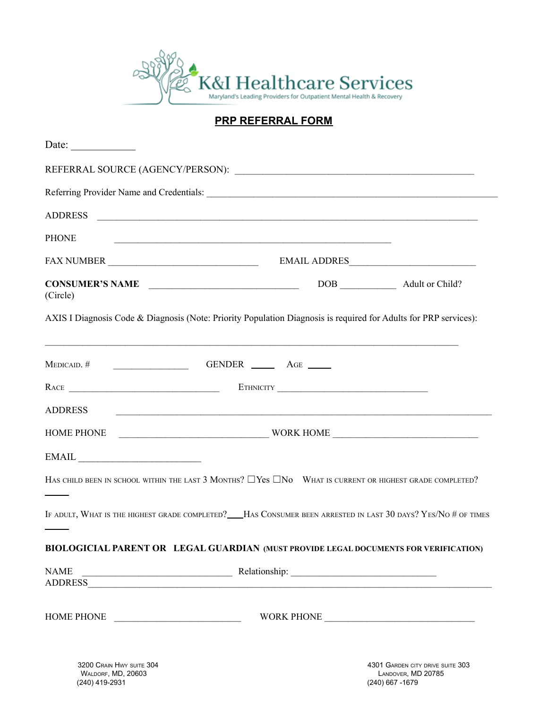

**PRP REFERRAL FORM**

| Date: $\qquad \qquad$                                                                                               |                                        |              |  |
|---------------------------------------------------------------------------------------------------------------------|----------------------------------------|--------------|--|
|                                                                                                                     |                                        |              |  |
|                                                                                                                     |                                        |              |  |
| <b>PHONE</b>                                                                                                        |                                        |              |  |
| FAX NUMBER                                                                                                          |                                        | EMAIL ADDRES |  |
| CONSUMER'S NAME<br>(Circle)                                                                                         |                                        |              |  |
| AXIS I Diagnosis Code & Diagnosis (Note: Priority Population Diagnosis is required for Adults for PRP services):    |                                        |              |  |
| MEDICAID. #                                                                                                         |                                        |              |  |
|                                                                                                                     |                                        |              |  |
| <b>ADDRESS</b>                                                                                                      |                                        |              |  |
|                                                                                                                     |                                        |              |  |
| $\textbf{EMAIL} \underline{\hspace{2cm}}$                                                                           |                                        |              |  |
| HAS CHILD BEEN IN SCHOOL WITHIN THE LAST 3 MONTHS? $\Box$ Yes $\Box$ No WHAT IS CURRENT OR HIGHEST GRADE COMPLETED? |                                        |              |  |
| IF ADULT, WHAT IS THE HIGHEST GRADE COMPLETED? HAS CONSUMER BEEN ARRESTED IN LAST 30 DAYS? YES/NO # OF TIMES        |                                        |              |  |
| BIOLOGICIAL PARENT OR LEGAL GUARDIAN (MUST PROVIDE LEGAL DOCUMENTS FOR VERIFICATION)                                |                                        |              |  |
| <b>NAME</b>                                                                                                         | $\overline{\phantom{a}}$ Relationship: |              |  |
| HOME PHONE                                                                                                          |                                        |              |  |
|                                                                                                                     |                                        |              |  |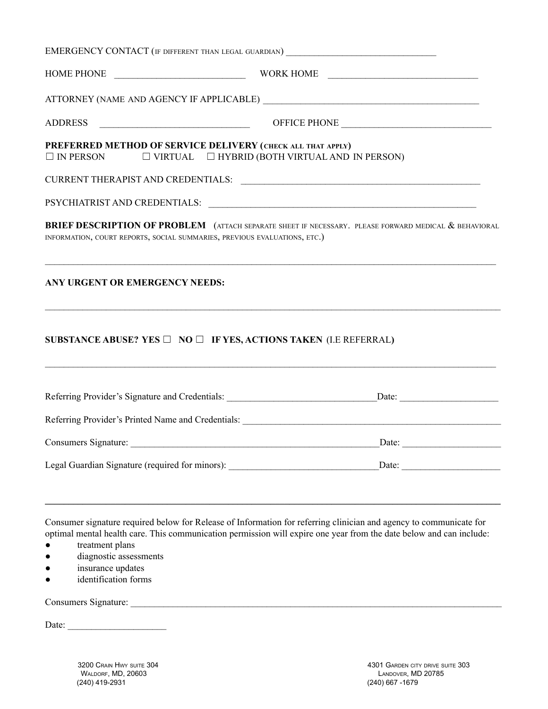|                                                                           | EMERGENCY CONTACT (IF DIFFERENT THAN LEGAL GUARDIAN) ____________________________                                                                                                                                                         |
|---------------------------------------------------------------------------|-------------------------------------------------------------------------------------------------------------------------------------------------------------------------------------------------------------------------------------------|
|                                                                           |                                                                                                                                                                                                                                           |
|                                                                           |                                                                                                                                                                                                                                           |
|                                                                           |                                                                                                                                                                                                                                           |
| PREFERRED METHOD OF SERVICE DELIVERY (CHECK ALL THAT APPLY)               | $\Box$ IN PERSON $\Box$ VIRTUAL $\Box$ HYBRID (BOTH VIRTUAL AND IN PERSON)                                                                                                                                                                |
|                                                                           |                                                                                                                                                                                                                                           |
|                                                                           |                                                                                                                                                                                                                                           |
| INFORMATION, COURT REPORTS, SOCIAL SUMMARIES, PREVIOUS EVALUATIONS, ETC.) | <b>BRIEF DESCRIPTION OF PROBLEM</b> (ATTACH SEPARATE SHEET IF NECESSARY. PLEASE FORWARD MEDICAL & BEHAVIORAL                                                                                                                              |
| ANY URGENT OR EMERGENCY NEEDS:                                            | <u> 1989 - Johann Harry Harry Harry Harry Harry Harry Harry Harry Harry Harry Harry Harry Harry Harry Harry Harry</u>                                                                                                                     |
|                                                                           | SUBSTANCE ABUSE? YES $\Box$ NO $\Box$ IF YES, ACTIONS TAKEN (I.E REFERRAL)                                                                                                                                                                |
|                                                                           |                                                                                                                                                                                                                                           |
|                                                                           | Referring Provider's Printed Name and Credentials: ______________________________                                                                                                                                                         |
| Consumers Signature:                                                      | Date:                                                                                                                                                                                                                                     |
|                                                                           | Legal Guardian Signature (required for minors): ________________________________<br>Date:                                                                                                                                                 |
|                                                                           |                                                                                                                                                                                                                                           |
|                                                                           | Consumer signature required below for Release of Information for referring clinician and agency to communicate for<br>optimal mental health care. This communication permission will expire one year from the date below and can include: |

- treatment plans
- diagnostic assessments
- insurance updates
- identification forms

Consumers Signature: \_\_\_\_\_\_\_\_\_\_\_\_\_\_\_\_\_\_\_\_\_\_\_\_\_\_\_\_\_\_\_\_\_\_\_\_\_\_\_\_\_\_\_\_\_\_\_\_\_\_\_\_\_\_\_\_\_\_\_\_\_\_\_\_\_\_\_\_\_\_\_\_\_\_\_\_\_\_\_

Date:  $\frac{1}{\sqrt{1-\frac{1}{2}}}\frac{1}{\sqrt{1-\frac{1}{2}}}\frac{1}{\sqrt{1-\frac{1}{2}}}\frac{1}{\sqrt{1-\frac{1}{2}}}\frac{1}{\sqrt{1-\frac{1}{2}}}\frac{1}{\sqrt{1-\frac{1}{2}}}\frac{1}{\sqrt{1-\frac{1}{2}}}\frac{1}{\sqrt{1-\frac{1}{2}}}\frac{1}{\sqrt{1-\frac{1}{2}}}\frac{1}{\sqrt{1-\frac{1}{2}}}\frac{1}{\sqrt{1-\frac{1}{2}}}\frac{1}{\sqrt{1-\frac{1}{2}}}\frac{1}{\sqrt{1-\frac{1}{2}}}\frac{1}{\$